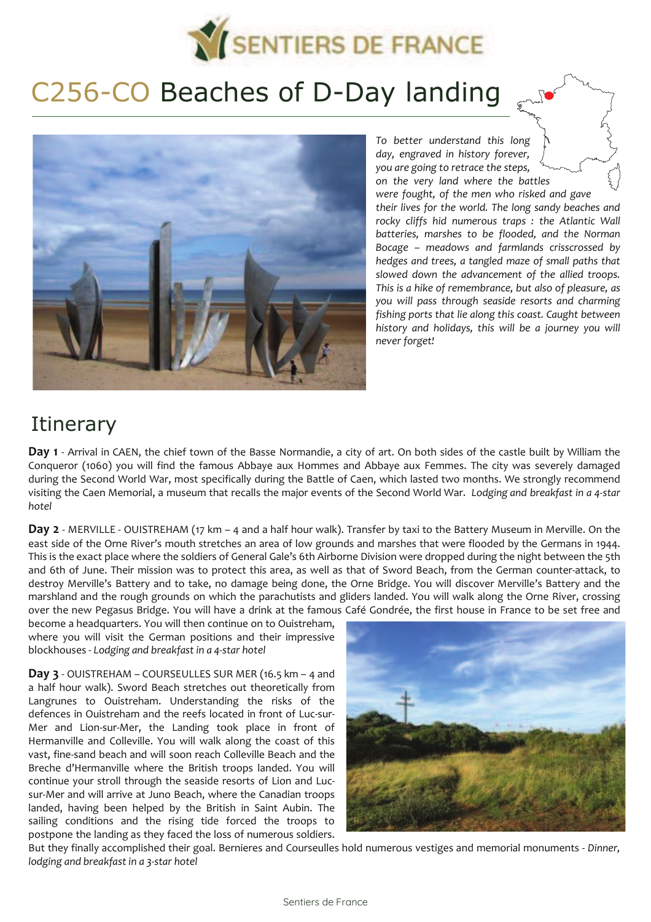

## C256-CO Beaches of D-Day landing



*To better understand this long day, engraved in history forever, you are going to retrace the steps, on the very land where the battles were fought, of the men who risked and gave their lives for the world. The long sandy beaches and rocky cliffs hid numerous traps : the Atlantic Wall batteries, marshes to be flooded, and the Norman*  Bocage – meadows and farmlands crisscrossed by *hedges and trees, a tangled maze of small paths that slowed down the advancement of the allied troops. This is a hike of remembrance, but also of pleasure, as you will pass through seaside resorts and charming fishing ports that lie along this coast. Caught between history and holidays, this will be a journey you will never forget!*

## **Itinerary**

**Day 1** - Arrival in CAEN, the chief town of the Basse Normandie, a city of art. On both sides of the castle built by William the Conqueror (1060) you will find the famous Abbaye aux Hommes and Abbaye aux Femmes. The city was severely damaged during the Second World War, most specifically during the Battle of Caen, which lasted two months. We strongly recommend visiting the Caen Memorial, a museum that recalls the major events of the Second World War. *Lodging and breakfast in a 4-star hotel* 

**Day 2** - MERVILLE - OUISTREHAM (17 km – 4 and a half hour walk). Transfer by taxi to the Battery Museum in Merville. On the east side of the Orne River's mouth stretches an area of low grounds and marshes that were flooded by the Germans in 1944. This is the exact place where the soldiers of General Gale's 6th Airborne Division were dropped during the night between the 5th and 6th of June. Their mission was to protect this area, as well as that of Sword Beach, from the German counter-attack, to destroy Merville's Battery and to take, no damage being done, the Orne Bridge. You will discover Merville's Battery and the marshland and the rough grounds on which the parachutists and gliders landed. You will walk along the Orne River, crossing over the new Pegasus Bridge. You will have a drink at the famous Café Gondrée, the first house in France to be set free and

become a headquarters. You will then continue on to Ouistreham, where you will visit the German positions and their impressive blockhouses - *Lodging and breakfast in a 4-star hotel* 

**Day 3** - OUISTREHAM – COURSEULLES SUR MER (16.5 km – 4 and a half hour walk). Sword Beach stretches out theoretically from Langrunes to Ouistreham. Understanding the risks of the defences in Ouistreham and the reefs located in front of Luc-sur-Mer and Lion-sur-Mer, the Landing took place in front of Hermanville and Colleville. You will walk along the coast of this vast, fine-sand beach and will soon reach Colleville Beach and the Breche d'Hermanville where the British troops landed. You will continue your stroll through the seaside resorts of Lion and Lucsur-Mer and will arrive at Juno Beach, where the Canadian troops landed, having been helped by the British in Saint Aubin. The sailing conditions and the rising tide forced the troops to postpone the landing as they faced the loss of numerous soldiers.



But they finally accomplished their goal. Bernieres and Courseulles hold numerous vestiges and memorial monuments - *Dinner, lodging and breakfast in a 3-star hotel*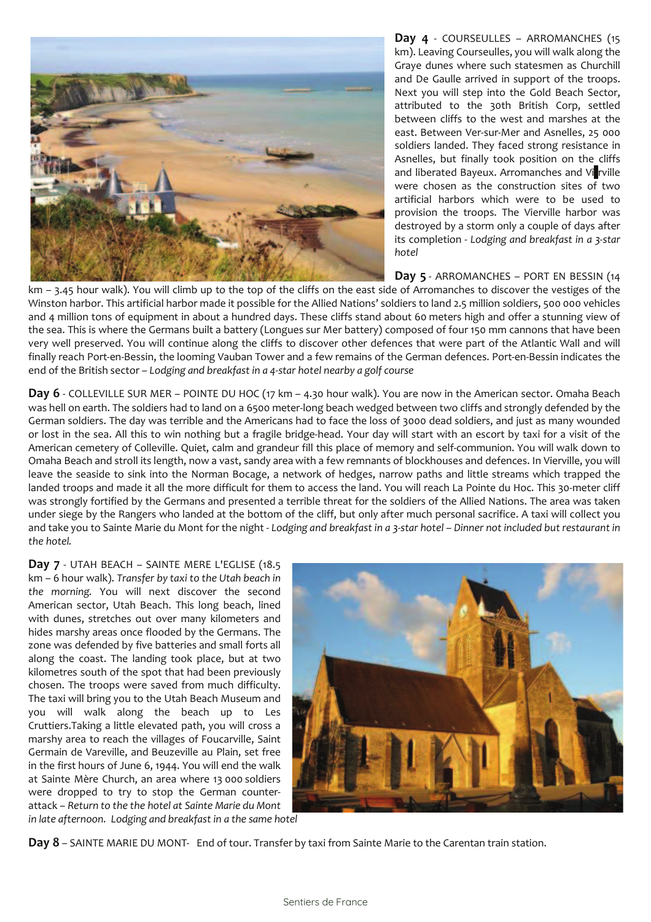

**Day 4** - COURSEULLES – ARROMANCHES (15 km). Leaving Courseulles, you will walk along the Graye dunes where such statesmen as Churchill and De Gaulle arrived in support of the troops. Next you will step into the Gold Beach Sector, attributed to the 30th British Corp, settled between cliffs to the west and marshes at the east. Between Ver-sur-Mer and Asnelles, 25 000 soldiers landed. They faced strong resistance in Asnelles, but finally took position on the cliffs and liberated Bayeux. Arromanches and Vi rville were chosen as the construction sites of two artificial harbors which were to be used to provision the troops. The Vierville harbor was destroyed by a storm only a couple of days after its completion - *Lodging and breakfast in a 3-star hotel* 

**Day 5** - ARROMANCHES – PORT EN BESSIN (14

km - 3.45 hour walk). You will climb up to the top of the cliffs on the east side of Arromanches to discover the vestiges of the Winston harbor. This artificial harbor made it possible for the Allied Nations' soldiers to land 2.5 million soldiers, 500 000 vehicles and 4 million tons of equipment in about a hundred days. These cliffs stand about 60 meters high and offer a stunning view of the sea. This is where the Germans built a battery (Longues sur Mer battery) composed of four 150 mm cannons that have been very well preserved. You will continue along the cliffs to discover other defences that were part of the Atlantic Wall and will finally reach Port-en-Bessin, the looming Vauban Tower and a few remains of the German defences. Port-en-Bessin indicates the end of the British sector – Lodging and breakfast in a 4-star hotel nearby a golf course

**Day 6** - COLLEVILLE SUR MER – POINTE DU HOC (17 km – 4.30 hour walk). You are now in the American sector. Omaha Beach was hell on earth. The soldiers had to land on a 6500 meter-long beach wedged between two cliffs and strongly defended by the German soldiers. The day was terrible and the Americans had to face the loss of 3000 dead soldiers, and just as many wounded or lost in the sea. All this to win nothing but a fragile bridge-head. Your day will start with an escort by taxi for a visit of the American cemetery of Colleville. Quiet, calm and grandeur fill this place of memory and self-communion. You will walk down to Omaha Beach and stroll its length, now a vast, sandy area with a few remnants of blockhouses and defences. In Vierville, you will leave the seaside to sink into the Norman Bocage, a network of hedges, narrow paths and little streams which trapped the landed troops and made it all the more difficult for them to access the land. You will reach La Pointe du Hoc. This 30-meter cliff was strongly fortified by the Germans and presented a terrible threat for the soldiers of the Allied Nations. The area was taken under siege by the Rangers who landed at the bottom of the cliff, but only after much personal sacrifice. A taxi will collect you and take you to Sainte Marie du Mont for the night - Lodging and breakfast in a 3-star hotel - Dinner not included but restaurant in *the hotel.*

Day 7 - UTAH BEACH - SAINTE MERE L'EGLISE (18.5) km – 6 hour walk). *Transfer by taxi to the Utah beach in the morning.* You will next discover the second American sector, Utah Beach. This long beach, lined with dunes, stretches out over many kilometers and hides marshy areas once flooded by the Germans. The zone was defended by five batteries and small forts all along the coast. The landing took place, but at two kilometres south of the spot that had been previously chosen. The troops were saved from much difficulty. The taxi will bring you to the Utah Beach Museum and you will walk along the beach up to Les Cruttiers.Taking a little elevated path, you will cross a marshy area to reach the villages of Foucarville, Saint Germain de Vareville, and Beuzeville au Plain, set free in the first hours of June 6, 1944. You will end the walk at Sainte Mère Church, an area where 13 000 soldiers were dropped to try to stop the German counterattack - Return to the the hotel at Sainte Marie du Mont *in late afternoon. Lodging and breakfast in a the same hotel*



**Day 8** – SAINTE MARIE DU MONT- End of tour. Transfer by taxi from Sainte Marie to the Carentan train station.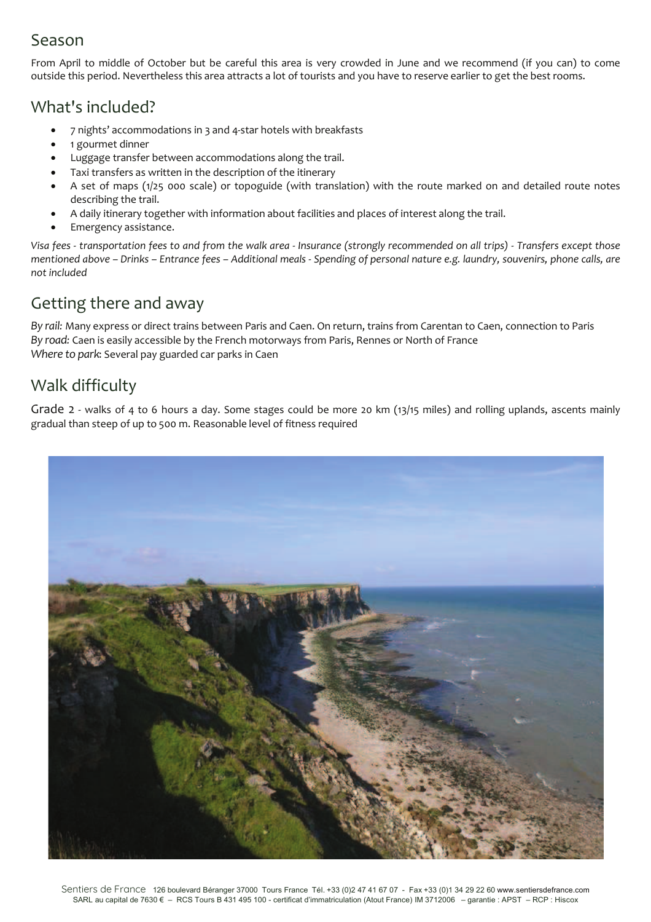### Season

From April to middle of October but be careful this area is very crowded in June and we recommend (if you can) to come outside this period. Nevertheless this area attracts a lot of tourists and you have to reserve earlier to get the best rooms.

### What's included?

- Ä 7 nightsÅ accommodations in 3 and 4-star hotels with breakfasts
- 1 gourmet dinner
- Luggage transfer between accommodations along the trail.
- Taxi transfers as written in the description of the itinerary
- Ä A set of maps (1/25 000 scale) or topoguide (with translation) with the route marked on and detailed route notes describing the trail.
- Ä A daily itinerary together with information about facilities and places of interest along the trail.
- Emergency assistance.

*Visa fees - transportation fees to and from the walk area - Insurance (strongly recommended on all trips) - Transfers except those mentioned above – Drinks – Entrance fees – Additional meals - Spending of personal nature e.g. laundry, souvenirs, phone calls, are not included*

### Getting there and away

*By rail:* Many express or direct trains between Paris and Caen. On return, trains from Carentan to Caen, connection to Paris *By road:* Caen is easily accessible by the French motorways from Paris, Rennes or North of France *Where to park*: Several pay guarded car parks in Caen

### Walk difficulty

Grade 2 - walks of 4 to 6 hours a day. Some stages could be more 20 km (13/15 miles) and rolling uplands, ascents mainly gradual than steep of up to 500 m. Reasonable level of fitness required

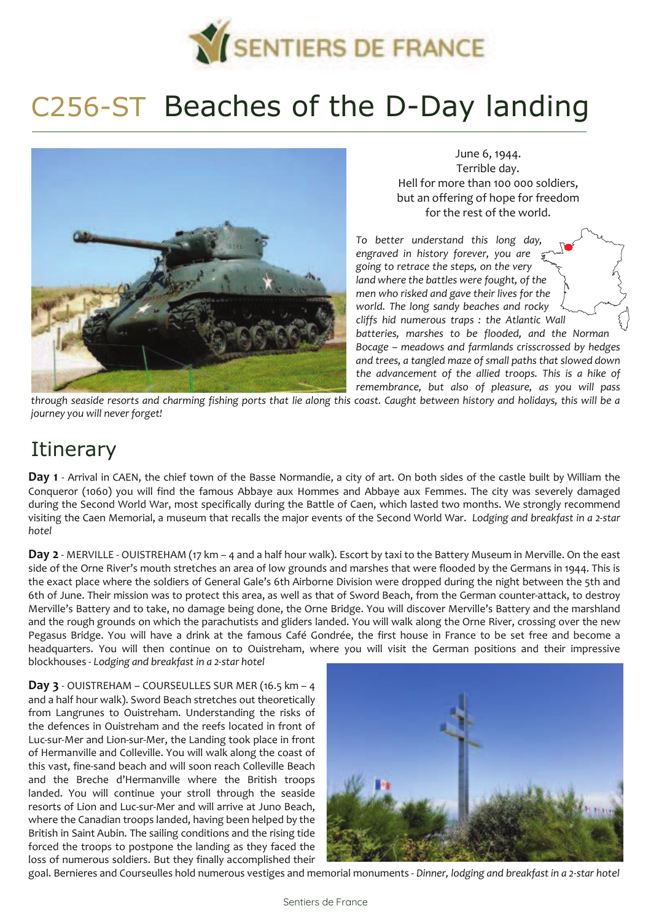

# C256-ST Beaches of the D-Day landing



June 6, 1944. Terrible day. Hell for more than 100 000 soldiers, but an offering of hope for freedom for the rest of the world.

*To better understand this long day, engraved in history forever, you are going to retrace the steps, on the very land where the battles were fought, of the men who risked and gave their lives for the world. The long sandy beaches and rocky cliffs hid numerous traps : the Atlantic Wall batteries, marshes to be flooded, and the Norman*  Bocage – meadows and farmlands crisscrossed by hedges *and trees, a tangled maze of small paths that slowed down the advancement of the allied troops. This is a hike of remembrance, but also of pleasure, as you will pass*

*through seaside resorts and charming fishing ports that lie along this coast. Caught between history and holidays, this will be a journey you will never forget!*

## **Itinerary**

**Day 1** - Arrival in CAEN, the chief town of the Basse Normandie, a city of art. On both sides of the castle built by William the Conqueror (1060) you will find the famous Abbaye aux Hommes and Abbaye aux Femmes. The city was severely damaged during the Second World War, most specifically during the Battle of Caen, which lasted two months. We strongly recommend visiting the Caen Memorial, a museum that recalls the major events of the Second World War. *Lodging and breakfast in a 2-star hotel* 

**Day 2** - MERVILLE - OUISTREHAM (17 km – 4 and a half hour walk). Escort by taxi to the Battery Museum in Merville. On the east side of the Orne River's mouth stretches an area of low grounds and marshes that were flooded by the Germans in 1944. This is the exact place where the soldiers of General Gale's 6th Airborne Division were dropped during the night between the 5th and 6th of June. Their mission was to protect this area, as well as that of Sword Beach, from the German counter-attack, to destroy Merville's Battery and to take, no damage being done, the Orne Bridge. You will discover Merville's Battery and the marshland and the rough grounds on which the parachutists and gliders landed. You will walk along the Orne River, crossing over the new Pegasus Bridge. You will have a drink at the famous Café Gondrée, the first house in France to be set free and become a headquarters. You will then continue on to Ouistreham, where you will visit the German positions and their impressive blockhouses - *Lodging and breakfast in a 2-star hotel* 

**Day 3** - OUISTREHAM – COURSEULLES SUR MER (16.5 km – 4 and a half hour walk). Sword Beach stretches out theoretically from Langrunes to Ouistreham. Understanding the risks of the defences in Ouistreham and the reefs located in front of Luc-sur-Mer and Lion-sur-Mer, the Landing took place in front of Hermanville and Colleville. You will walk along the coast of this vast, fine-sand beach and will soon reach Colleville Beach and the Breche d'Hermanville where the British troops landed. You will continue your stroll through the seaside resorts of Lion and Luc-sur-Mer and will arrive at Juno Beach, where the Canadian troops landed, having been helped by the British in Saint Aubin. The sailing conditions and the rising tide forced the troops to postpone the landing as they faced the loss of numerous soldiers. But they finally accomplished their



goal. Bernieres and Courseulles hold numerous vestiges and memorial monuments - *Dinner, lodging and breakfast in a 2-star hotel*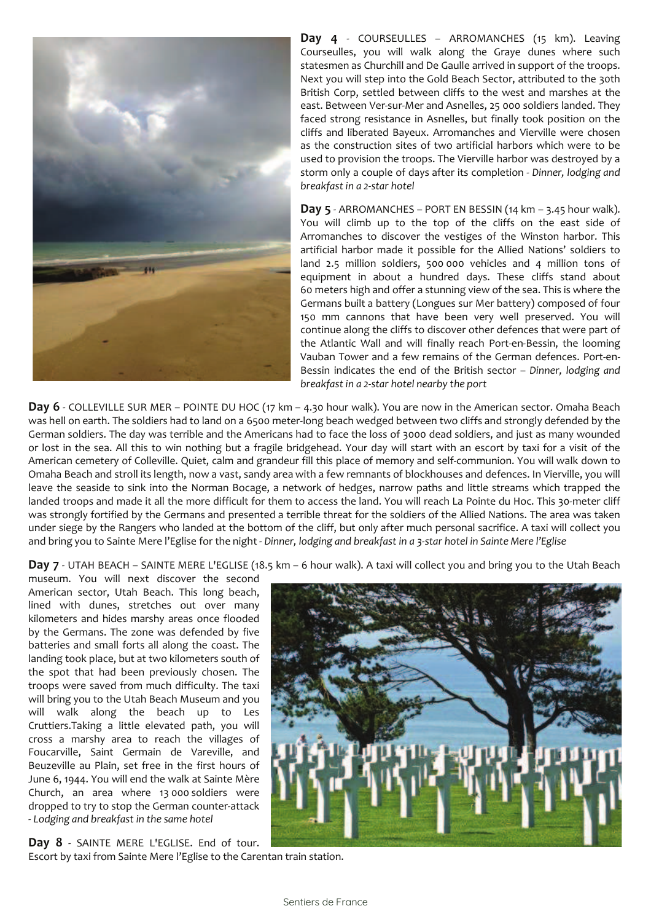

Day 4 - COURSEULLES - ARROMANCHES (15 km). Leaving Courseulles, you will walk along the Graye dunes where such statesmen as Churchill and De Gaulle arrived in support of the troops. Next you will step into the Gold Beach Sector, attributed to the 30th British Corp, settled between cliffs to the west and marshes at the east. Between Ver-sur-Mer and Asnelles, 25 000 soldiers landed. They faced strong resistance in Asnelles, but finally took position on the cliffs and liberated Bayeux. Arromanches and Vierville were chosen as the construction sites of two artificial harbors which were to be used to provision the troops. The Vierville harbor was destroyed by a storm only a couple of days after its completion - *Dinner, lodging and breakfast in a 2-star hotel* 

**Day 5** - ARROMANCHES – PORT EN BESSIN (14 km – 3.45 hour walk). You will climb up to the top of the cliffs on the east side of Arromanches to discover the vestiges of the Winston harbor. This artificial harbor made it possible for the Allied Nations' soldiers to land 2.5 million soldiers, 500 000 vehicles and 4 million tons of equipment in about a hundred days. These cliffs stand about 60 meters high and offer a stunning view of the sea. This is where the Germans built a battery (Longues sur Mer battery) composed of four 150 mm cannons that have been very well preserved. You will continue along the cliffs to discover other defences that were part of the Atlantic Wall and will finally reach Port-en-Bessin, the looming Vauban Tower and a few remains of the German defences. Port-en-Bessin indicates the end of the British sector - Dinner, lodging and *breakfast in a 2-star hotel nearby the port* 

**Day 6** - COLLEVILLE SUR MER – POINTE DU HOC (17 km – 4.30 hour walk). You are now in the American sector. Omaha Beach was hell on earth. The soldiers had to land on a 6500 meter-long beach wedged between two cliffs and strongly defended by the German soldiers. The day was terrible and the Americans had to face the loss of 3000 dead soldiers, and just as many wounded or lost in the sea. All this to win nothing but a fragile bridgehead. Your day will start with an escort by taxi for a visit of the American cemetery of Colleville. Quiet, calm and grandeur fill this place of memory and self-communion. You will walk down to Omaha Beach and stroll its length, now a vast, sandy area with a few remnants of blockhouses and defences. In Vierville, you will leave the seaside to sink into the Norman Bocage, a network of hedges, narrow paths and little streams which trapped the landed troops and made it all the more difficult for them to access the land. You will reach La Pointe du Hoc. This 30-meter cliff was strongly fortified by the Germans and presented a terrible threat for the soldiers of the Allied Nations. The area was taken under siege by the Rangers who landed at the bottom of the cliff, but only after much personal sacrifice. A taxi will collect you and bring you to Sainte Mere l'Eglise for the night - *Dinner, lodging and breakfast in a 3-star hotel in Sainte Mere l'Eglise* 

**Day 7** - UTAH BEACH – SAINTE MERE L'EGLISE (18.5 km – 6 hour walk). A taxi will collect you and bring you to the Utah Beach

museum. You will next discover the second American sector, Utah Beach. This long beach, lined with dunes, stretches out over many kilometers and hides marshy areas once flooded by the Germans. The zone was defended by five batteries and small forts all along the coast. The landing took place, but at two kilometers south of the spot that had been previously chosen. The troops were saved from much difficulty. The taxi will bring you to the Utah Beach Museum and you will walk along the beach up to Les Cruttiers.Taking a little elevated path, you will cross a marshy area to reach the villages of Foucarville, Saint Germain de Vareville, and Beuzeville au Plain, set free in the first hours of June 6, 1944. You will end the walk at Sainte Mère Church, an area where 13 000 soldiers were dropped to try to stop the German counter-attack - *Lodging and breakfast in the same hotel*

**Day 8** - SAINTE MERE L'EGLISE. End of tour. Escort by taxi from Sainte Mere l'Eglise to the Carentan train station.